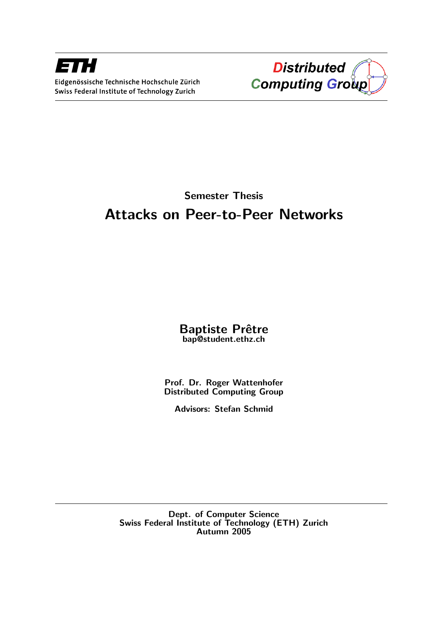



## Semester Thesis Attacks on Peer-to-Peer Networks

#### Baptiste Prêtre bap@student.ethz.ch

Prof. Dr. Roger Wattenhofer Distributed Computing Group

Advisors: Stefan Schmid

Dept. of Computer Science Swiss Federal Institute of Technology (ETH) Zurich Autumn 2005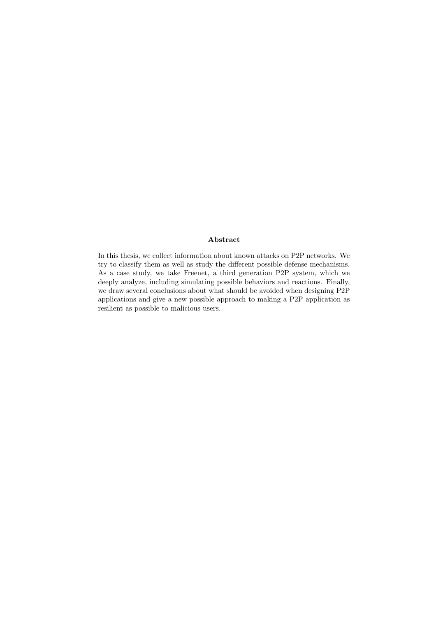#### Abstract

In this thesis, we collect information about known attacks on P2P networks. We try to classify them as well as study the different possible defense mechanisms. As a case study, we take Freenet, a third generation P2P system, which we deeply analyze, including simulating possible behaviors and reactions. Finally, we draw several conclusions about what should be avoided when designing P2P applications and give a new possible approach to making a P2P application as resilient as possible to malicious users.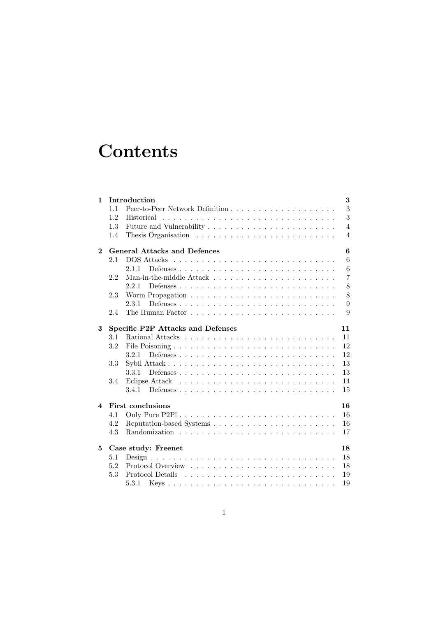# **Contents**

| $\mathbf{1}$ |                                          | Introduction                                                               | 3              |  |  |  |
|--------------|------------------------------------------|----------------------------------------------------------------------------|----------------|--|--|--|
|              | 1.1                                      | Peer-to-Peer Network Definition                                            | 3              |  |  |  |
|              | 1.2                                      |                                                                            | 3              |  |  |  |
|              | 1.3                                      |                                                                            | $\overline{4}$ |  |  |  |
|              | 1.4                                      |                                                                            | $\overline{4}$ |  |  |  |
| $\mathbf{2}$ | <b>General Attacks and Defences</b><br>6 |                                                                            |                |  |  |  |
|              | 2.1                                      |                                                                            | 6              |  |  |  |
|              |                                          | 2.1.1                                                                      | 6              |  |  |  |
|              | 2.2                                      |                                                                            | $\overline{7}$ |  |  |  |
|              |                                          | 2.2.1                                                                      | 8              |  |  |  |
|              | 2.3                                      | Worm Propagation $\ldots \ldots \ldots \ldots \ldots \ldots \ldots \ldots$ | 8              |  |  |  |
|              |                                          | 2.3.1                                                                      | 9              |  |  |  |
|              | 2.4                                      |                                                                            | 9              |  |  |  |
| 3            | Specific P2P Attacks and Defenses<br>11  |                                                                            |                |  |  |  |
|              | 3.1                                      |                                                                            | 11             |  |  |  |
|              | 3.2                                      |                                                                            | 12             |  |  |  |
|              |                                          | 3.2.1                                                                      | 12             |  |  |  |
|              | 3.3                                      |                                                                            | 13             |  |  |  |
|              |                                          | 3.3.1                                                                      | 13             |  |  |  |
|              | 3.4                                      |                                                                            | 14             |  |  |  |
|              |                                          | 3.4.1                                                                      | 15             |  |  |  |
| 4            | <b>First conclusions</b><br>16           |                                                                            |                |  |  |  |
|              | 4.1                                      |                                                                            | 16             |  |  |  |
|              | 4.2                                      |                                                                            | 16             |  |  |  |
|              | 4.3                                      |                                                                            | 17             |  |  |  |
| 5            | Case study: Freenet<br>18                |                                                                            |                |  |  |  |
|              | 5.1                                      |                                                                            | 18             |  |  |  |
|              | 5.2                                      |                                                                            | 18             |  |  |  |
|              | 5.3                                      |                                                                            | 19             |  |  |  |
|              |                                          | 5.3.1                                                                      | 19             |  |  |  |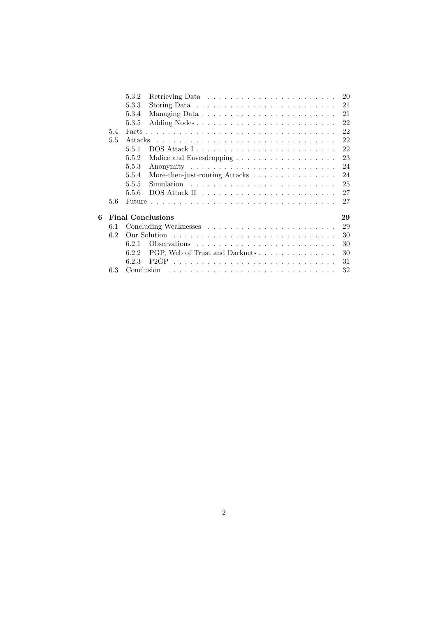|   |                                | 5.3.2         | 20                                                                         |  |  |  |  |
|---|--------------------------------|---------------|----------------------------------------------------------------------------|--|--|--|--|
|   |                                | 5.3.3         | 21                                                                         |  |  |  |  |
|   |                                | 5.3.4         | 21                                                                         |  |  |  |  |
|   |                                | 5.3.5         | 22                                                                         |  |  |  |  |
|   | 5.4                            | Facts         | 22                                                                         |  |  |  |  |
|   | 5.5                            | Attacks       |                                                                            |  |  |  |  |
|   |                                | 5.5.1         | 22                                                                         |  |  |  |  |
|   |                                | 5.5.2         | 23<br>Malice and Eavesdropping $\ldots \ldots \ldots \ldots \ldots \ldots$ |  |  |  |  |
|   |                                | 5.5.3         | 24                                                                         |  |  |  |  |
|   |                                | 5.5.4         | 24<br>More-then-just-routing Attacks                                       |  |  |  |  |
|   |                                | 5.5.5         | 25                                                                         |  |  |  |  |
|   |                                | 5.5.6         | 27                                                                         |  |  |  |  |
|   | 5.6                            | <b>Future</b> | 27                                                                         |  |  |  |  |
| 6 | <b>Final Conclusions</b><br>29 |               |                                                                            |  |  |  |  |
|   | 6.1                            | 29            |                                                                            |  |  |  |  |
|   | 6.2                            |               | 30                                                                         |  |  |  |  |
|   |                                | 621           | 30                                                                         |  |  |  |  |
|   |                                | 6.2.2         | 30<br>PGP, Web of Trust and Darknets                                       |  |  |  |  |
|   |                                | 6.2.3         | 31                                                                         |  |  |  |  |
|   | 6.3                            | Conclusion    | 32                                                                         |  |  |  |  |
|   |                                |               |                                                                            |  |  |  |  |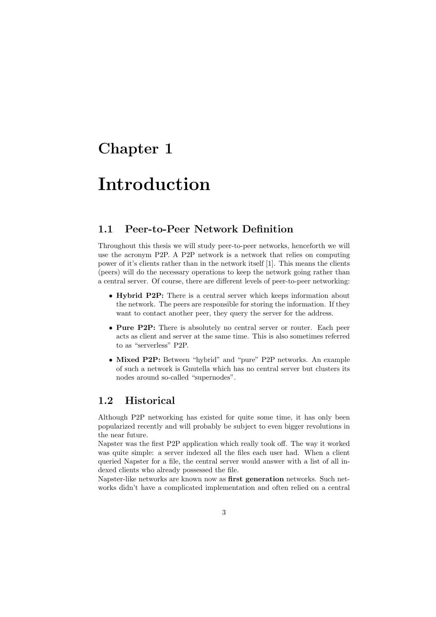## Chapter 1

# Introduction

#### 1.1 Peer-to-Peer Network Definition

Throughout this thesis we will study peer-to-peer networks, henceforth we will use the acronym P2P. A P2P network is a network that relies on computing power of it's clients rather than in the network itself [1]. This means the clients (peers) will do the necessary operations to keep the network going rather than a central server. Of course, there are different levels of peer-to-peer networking:

- Hybrid P2P: There is a central server which keeps information about the network. The peers are responsible for storing the information. If they want to contact another peer, they query the server for the address.
- Pure P2P: There is absolutely no central server or router. Each peer acts as client and server at the same time. This is also sometimes referred to as "serverless" P2P.
- Mixed P2P: Between "hybrid" and "pure" P2P networks. An example of such a network is Gnutella which has no central server but clusters its nodes around so-called "supernodes".

#### 1.2 Historical

Although P2P networking has existed for quite some time, it has only been popularized recently and will probably be subject to even bigger revolutions in the near future.

Napster was the first P2P application which really took off. The way it worked was quite simple: a server indexed all the files each user had. When a client queried Napster for a file, the central server would answer with a list of all indexed clients who already possessed the file.

Napster-like networks are known now as first generation networks. Such networks didn't have a complicated implementation and often relied on a central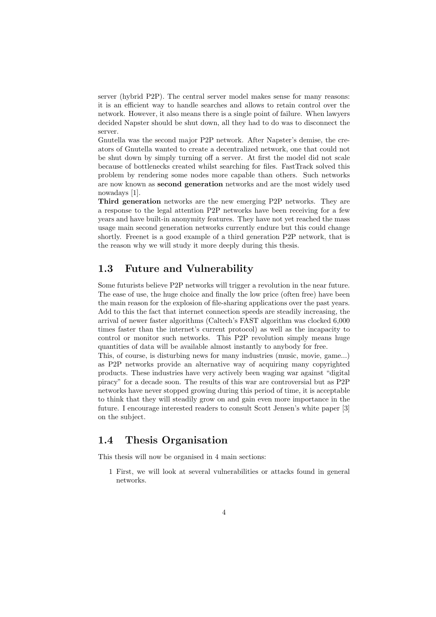server (hybrid P2P). The central server model makes sense for many reasons: it is an efficient way to handle searches and allows to retain control over the network. However, it also means there is a single point of failure. When lawyers decided Napster should be shut down, all they had to do was to disconnect the server.

Gnutella was the second major P2P network. After Napster's demise, the creators of Gnutella wanted to create a decentralized network, one that could not be shut down by simply turning off a server. At first the model did not scale because of bottlenecks created whilst searching for files. FastTrack solved this problem by rendering some nodes more capable than others. Such networks are now known as second generation networks and are the most widely used nowadays [1].

Third generation networks are the new emerging P2P networks. They are a response to the legal attention P2P networks have been receiving for a few years and have built-in anonymity features. They have not yet reached the mass usage main second generation networks currently endure but this could change shortly. Freenet is a good example of a third generation P2P network, that is the reason why we will study it more deeply during this thesis.

#### 1.3 Future and Vulnerability

Some futurists believe P2P networks will trigger a revolution in the near future. The ease of use, the huge choice and finally the low price (often free) have been the main reason for the explosion of file-sharing applications over the past years. Add to this the fact that internet connection speeds are steadily increasing, the arrival of newer faster algorithms (Caltech's FAST algorithm was clocked 6,000 times faster than the internet's current protocol) as well as the incapacity to control or monitor such networks. This P2P revolution simply means huge quantities of data will be available almost instantly to anybody for free.

This, of course, is disturbing news for many industries (music, movie, game...) as P2P networks provide an alternative way of acquiring many copyrighted products. These industries have very actively been waging war against "digital piracy" for a decade soon. The results of this war are controversial but as P2P networks have never stopped growing during this period of time, it is acceptable to think that they will steadily grow on and gain even more importance in the future. I encourage interested readers to consult Scott Jensen's white paper [3] on the subject.

#### 1.4 Thesis Organisation

This thesis will now be organised in 4 main sections:

1 First, we will look at several vulnerabilities or attacks found in general networks.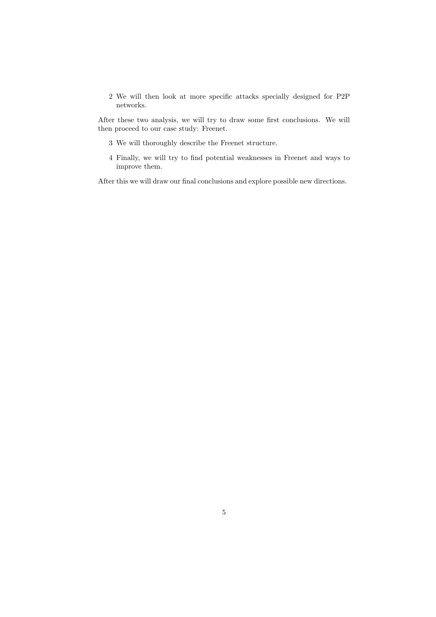2 We will then look at more specific attacks specially designed for P2P networks.

After these two analysis, we will try to draw some first conclusions. We will then proceed to our case study: Freenet.

- 3 We will thoroughly describe the Freenet structure.
- 4 Finally, we will try to find potential weaknesses in Freenet and ways to improve them.

After this we will draw our final conclusions and explore possible new directions.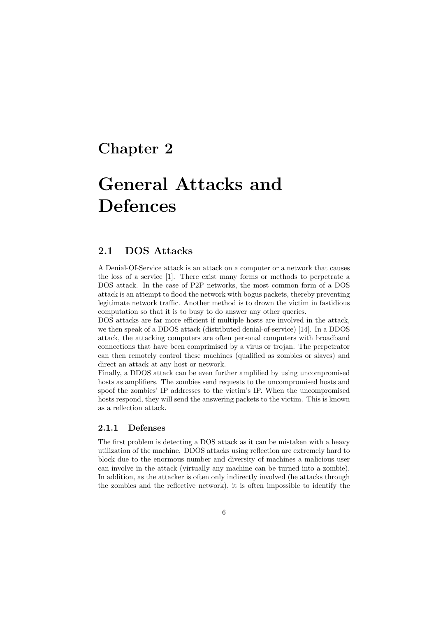### Chapter 2

# General Attacks and Defences

#### 2.1 DOS Attacks

A Denial-Of-Service attack is an attack on a computer or a network that causes the loss of a service [1]. There exist many forms or methods to perpetrate a DOS attack. In the case of P2P networks, the most common form of a DOS attack is an attempt to flood the network with bogus packets, thereby preventing legitimate network traffic. Another method is to drown the victim in fastidious computation so that it is to busy to do answer any other queries.

DOS attacks are far more efficient if multiple hosts are involved in the attack, we then speak of a DDOS attack (distributed denial-of-service) [14]. In a DDOS attack, the attacking computers are often personal computers with broadband connections that have been comprimised by a virus or trojan. The perpetrator can then remotely control these machines (qualified as zombies or slaves) and direct an attack at any host or network.

Finally, a DDOS attack can be even further amplified by using uncompromised hosts as amplifiers. The zombies send requests to the uncompromised hosts and spoof the zombies' IP addresses to the victim's IP. When the uncompromised hosts respond, they will send the answering packets to the victim. This is known as a reflection attack.

#### 2.1.1 Defenses

The first problem is detecting a DOS attack as it can be mistaken with a heavy utilization of the machine. DDOS attacks using reflection are extremely hard to block due to the enormous number and diversity of machines a malicious user can involve in the attack (virtually any machine can be turned into a zombie). In addition, as the attacker is often only indirectly involved (he attacks through the zombies and the reflective network), it is often impossible to identify the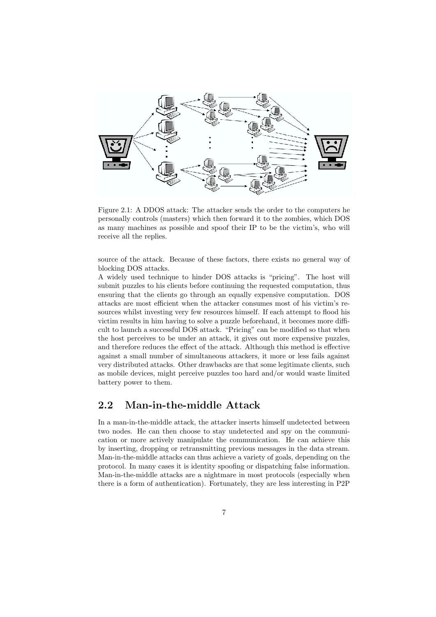

Figure 2.1: A DDOS attack: The attacker sends the order to the computers he personally controls (masters) which then forward it to the zombies, which DOS as many machines as possible and spoof their IP to be the victim's, who will receive all the replies.

source of the attack. Because of these factors, there exists no general way of blocking DOS attacks.

A widely used technique to hinder DOS attacks is "pricing". The host will submit puzzles to his clients before continuing the requested computation, thus ensuring that the clients go through an equally expensive computation. DOS attacks are most efficient when the attacker consumes most of his victim's resources whilst investing very few resources himself. If each attempt to flood his victim results in him having to solve a puzzle beforehand, it becomes more difficult to launch a successful DOS attack. "Pricing" can be modified so that when the host perceives to be under an attack, it gives out more expensive puzzles, and therefore reduces the effect of the attack. Although this method is effective against a small number of simultaneous attackers, it more or less fails against very distributed attacks. Other drawbacks are that some legitimate clients, such as mobile devices, might perceive puzzles too hard and/or would waste limited battery power to them.

#### 2.2 Man-in-the-middle Attack

In a man-in-the-middle attack, the attacker inserts himself undetected between two nodes. He can then choose to stay undetected and spy on the communication or more actively manipulate the communication. He can achieve this by inserting, dropping or retransmitting previous messages in the data stream. Man-in-the-middle attacks can thus achieve a variety of goals, depending on the protocol. In many cases it is identity spoofing or dispatching false information. Man-in-the-middle attacks are a nightmare in most protocols (especially when there is a form of authentication). Fortunately, they are less interesting in P2P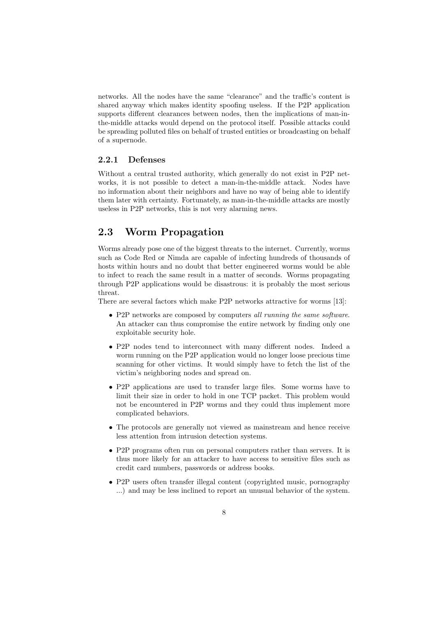networks. All the nodes have the same "clearance" and the traffic's content is shared anyway which makes identity spoofing useless. If the P2P application supports different clearances between nodes, then the implications of man-inthe-middle attacks would depend on the protocol itself. Possible attacks could be spreading polluted files on behalf of trusted entities or broadcasting on behalf of a supernode.

#### 2.2.1 Defenses

Without a central trusted authority, which generally do not exist in P2P networks, it is not possible to detect a man-in-the-middle attack. Nodes have no information about their neighbors and have no way of being able to identify them later with certainty. Fortunately, as man-in-the-middle attacks are mostly useless in P2P networks, this is not very alarming news.

#### 2.3 Worm Propagation

Worms already pose one of the biggest threats to the internet. Currently, worms such as Code Red or Nimda are capable of infecting hundreds of thousands of hosts within hours and no doubt that better engineered worms would be able to infect to reach the same result in a matter of seconds. Worms propagating through P2P applications would be disastrous: it is probably the most serious threat.

There are several factors which make P2P networks attractive for worms [13]:

- P2P networks are composed by computers all running the same software. An attacker can thus compromise the entire network by finding only one exploitable security hole.
- P2P nodes tend to interconnect with many different nodes. Indeed a worm running on the P2P application would no longer loose precious time scanning for other victims. It would simply have to fetch the list of the victim's neighboring nodes and spread on.
- P2P applications are used to transfer large files. Some worms have to limit their size in order to hold in one TCP packet. This problem would not be encountered in P2P worms and they could thus implement more complicated behaviors.
- The protocols are generally not viewed as mainstream and hence receive less attention from intrusion detection systems.
- P2P programs often run on personal computers rather than servers. It is thus more likely for an attacker to have access to sensitive files such as credit card numbers, passwords or address books.
- P2P users often transfer illegal content (copyrighted music, pornography ...) and may be less inclined to report an unusual behavior of the system.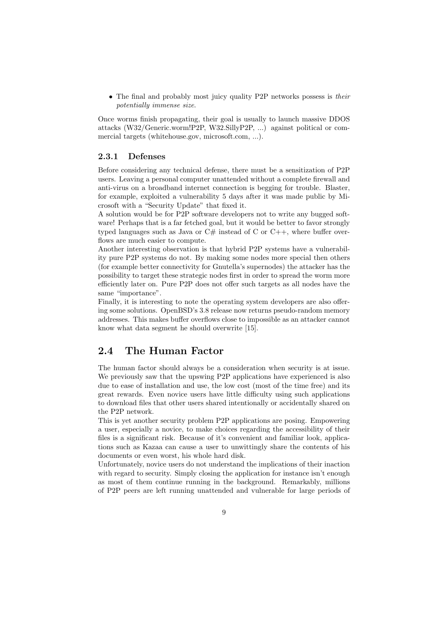• The final and probably most juicy quality P2P networks possess is their potentially immense size.

Once worms finish propagating, their goal is usually to launch massive DDOS attacks (W32/Generic.worm!P2P, W32.SillyP2P, ...) against political or commercial targets (whitehouse.gov, microsoft.com, ...).

#### 2.3.1 Defenses

Before considering any technical defense, there must be a sensitization of P2P users. Leaving a personal computer unattended without a complete firewall and anti-virus on a broadband internet connection is begging for trouble. Blaster, for example, exploited a vulnerability 5 days after it was made public by Microsoft with a "Security Update" that fixed it.

A solution would be for P2P software developers not to write any bugged software! Perhaps that is a far fetched goal, but it would be better to favor strongly typed languages such as Java or  $C#$  instead of C or  $C++$ , where buffer overflows are much easier to compute.

Another interesting observation is that hybrid P2P systems have a vulnerability pure P2P systems do not. By making some nodes more special then others (for example better connectivity for Gnutella's supernodes) the attacker has the possibility to target these strategic nodes first in order to spread the worm more efficiently later on. Pure P2P does not offer such targets as all nodes have the same "importance".

Finally, it is interesting to note the operating system developers are also offering some solutions. OpenBSD's 3.8 release now returns pseudo-random memory addresses. This makes buffer overflows close to impossible as an attacker cannot know what data segment he should overwrite [15].

#### 2.4 The Human Factor

The human factor should always be a consideration when security is at issue. We previously saw that the upswing P2P applications have experienced is also due to ease of installation and use, the low cost (most of the time free) and its great rewards. Even novice users have little difficulty using such applications to download files that other users shared intentionally or accidentally shared on the P2P network.

This is yet another security problem P2P applications are posing. Empowering a user, especially a novice, to make choices regarding the accessibility of their files is a significant risk. Because of it's convenient and familiar look, applications such as Kazaa can cause a user to unwittingly share the contents of his documents or even worst, his whole hard disk.

Unfortunately, novice users do not understand the implications of their inaction with regard to security. Simply closing the application for instance isn't enough as most of them continue running in the background. Remarkably, millions of P2P peers are left running unattended and vulnerable for large periods of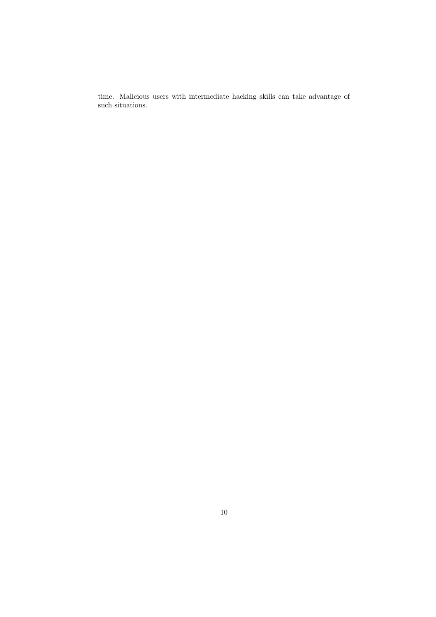time. Malicious users with intermediate hacking skills can take advantage of such situations.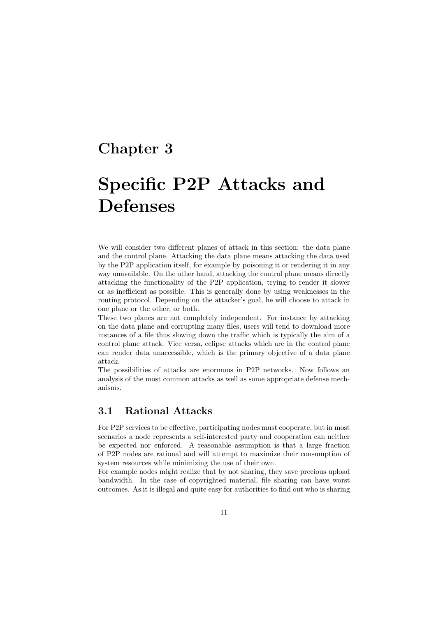### Chapter 3

# Specific P2P Attacks and Defenses

We will consider two different planes of attack in this section: the data plane and the control plane. Attacking the data plane means attacking the data used by the P2P application itself, for example by poisoning it or rendering it in any way unavailable. On the other hand, attacking the control plane means directly attacking the functionality of the P2P application, trying to render it slower or as inefficient as possible. This is generally done by using weaknesses in the routing protocol. Depending on the attacker's goal, he will choose to attack in one plane or the other, or both.

These two planes are not completely independent. For instance by attacking on the data plane and corrupting many files, users will tend to download more instances of a file thus slowing down the traffic which is typically the aim of a control plane attack. Vice versa, eclipse attacks which are in the control plane can render data unaccessible, which is the primary objective of a data plane attack.

The possibilities of attacks are enormous in P2P networks. Now follows an analysis of the most common attacks as well as some appropriate defense mechanisms.

#### 3.1 Rational Attacks

For P2P services to be effective, participating nodes must cooperate, but in most scenarios a node represents a self-interested party and cooperation can neither be expected nor enforced. A reasonable assumption is that a large fraction of P2P nodes are rational and will attempt to maximize their consumption of system resources while minimizing the use of their own.

For example nodes might realize that by not sharing, they save precious upload bandwidth. In the case of copyrighted material, file sharing can have worst outcomes. As it is illegal and quite easy for authorities to find out who is sharing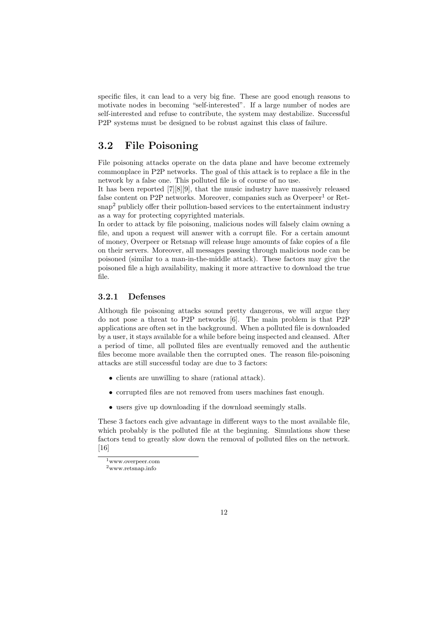specific files, it can lead to a very big fine. These are good enough reasons to motivate nodes in becoming "self-interested". If a large number of nodes are self-interested and refuse to contribute, the system may destabilize. Successful P2P systems must be designed to be robust against this class of failure.

#### 3.2 File Poisoning

File poisoning attacks operate on the data plane and have become extremely commonplace in P2P networks. The goal of this attack is to replace a file in the network by a false one. This polluted file is of course of no use.

It has been reported [7][8][9], that the music industry have massively released false content on P2P networks. Moreover, companies such as  $Overpeer<sup>1</sup>$  or Retsnap<sup>2</sup> publicly offer their pollution-based services to the entertainment industry as a way for protecting copyrighted materials.

In order to attack by file poisoning, malicious nodes will falsely claim owning a file, and upon a request will answer with a corrupt file. For a certain amount of money, Overpeer or Retsnap will release huge amounts of fake copies of a file on their servers. Moreover, all messages passing through malicious node can be poisoned (similar to a man-in-the-middle attack). These factors may give the poisoned file a high availability, making it more attractive to download the true file.

#### 3.2.1 Defenses

Although file poisoning attacks sound pretty dangerous, we will argue they do not pose a threat to P2P networks [6]. The main problem is that P2P applications are often set in the background. When a polluted file is downloaded by a user, it stays available for a while before being inspected and cleansed. After a period of time, all polluted files are eventually removed and the authentic files become more available then the corrupted ones. The reason file-poisoning attacks are still successful today are due to 3 factors:

- clients are unwilling to share (rational attack).
- corrupted files are not removed from users machines fast enough.
- users give up downloading if the download seemingly stalls.

These 3 factors each give advantage in different ways to the most available file, which probably is the polluted file at the beginning. Simulations show these factors tend to greatly slow down the removal of polluted files on the network. [16]

<sup>1</sup>www.overpeer.com

<sup>2</sup>www.retsnap.info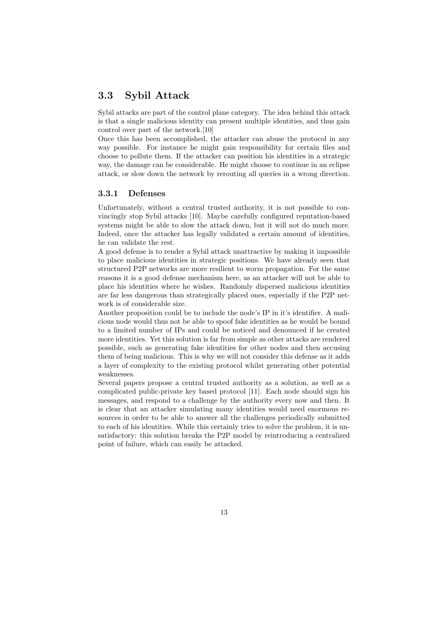#### 3.3 Sybil Attack

Sybil attacks are part of the control plane category. The idea behind this attack is that a single malicious identity can present multiple identities, and thus gain control over part of the network.[10]

Once this has been accomplished, the attacker can abuse the protocol in any way possible. For instance he might gain responsibility for certain files and choose to pollute them. If the attacker can position his identities in a strategic way, the damage can be considerable. He might choose to continue in an eclipse attack, or slow down the network by rerouting all queries in a wrong direction.

#### 3.3.1 Defenses

Unfortunately, without a central trusted authority, it is not possible to convincingly stop Sybil attacks [10]. Maybe carefully configured reputation-based systems might be able to slow the attack down, but it will not do much more. Indeed, once the attacker has legally validated a certain amount of identities, he can validate the rest.

A good defense is to render a Sybil attack unattractive by making it impossible to place malicious identities in strategic positions. We have already seen that structured P2P networks are more resilient to worm propagation. For the same reasons it is a good defense mechanism here, as an attacker will not be able to place his identities where he wishes. Randomly dispersed malicious identities are far less dangerous than strategically placed ones, especially if the P2P network is of considerable size.

Another proposition could be to include the node's IP in it's identifier. A malicious node would thus not be able to spoof fake identities as he would be bound to a limited number of IPs and could be noticed and denounced if he created more identities. Yet this solution is far from simple as other attacks are rendered possible, such as generating fake identities for other nodes and then accusing them of being malicious. This is why we will not consider this defense as it adds a layer of complexity to the existing protocol whilst generating other potential weaknesses.

Several papers propose a central trusted authority as a solution, as well as a complicated public-private key based protocol [11]. Each node should sign his messages, and respond to a challenge by the authority every now and then. It is clear that an attacker simulating many identities would need enormous resources in order to be able to answer all the challenges periodically submitted to each of his identities. While this certainly tries to solve the problem, it is unsatisfactory: this solution breaks the P2P model by reintroducing a centralized point of failure, which can easily be attacked.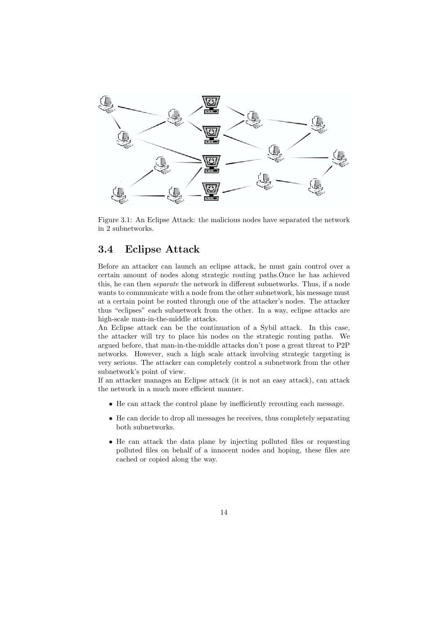

Figure 3.1: An Eclipse Attack: the malicious nodes have separated the network in 2 subnetworks.

#### 3.4 Eclipse Attack

Before an attacker can launch an eclipse attack, he must gain control over a certain amount of nodes along strategic routing paths.Once he has achieved this, he can then separate the network in different subnetworks. Thus, if a node wants to communicate with a node from the other subnetwork, his message must at a certain point be routed through one of the attacker's nodes. The attacker thus "eclipses" each subnetwork from the other. In a way, eclipse attacks are high-scale man-in-the-middle attacks.

An Eclipse attack can be the continuation of a Sybil attack. In this case, the attacker will try to place his nodes on the strategic routing paths. We argued before, that man-in-the-middle attacks don't pose a great threat to P2P networks. However, such a high scale attack involving strategic targeting is very serious. The attacker can completely control a subnetwork from the other subnetwork's point of view.

If an attacker manages an Eclipse attack (it is not an easy attack), can attack the network in a much more efficient manner.

- He can attack the control plane by inefficiently rerouting each message.
- He can decide to drop all messages he receives, thus completely separating both subnetworks.
- He can attack the data plane by injecting polluted files or requesting polluted files on behalf of a innocent nodes and hoping, these files are cached or copied along the way.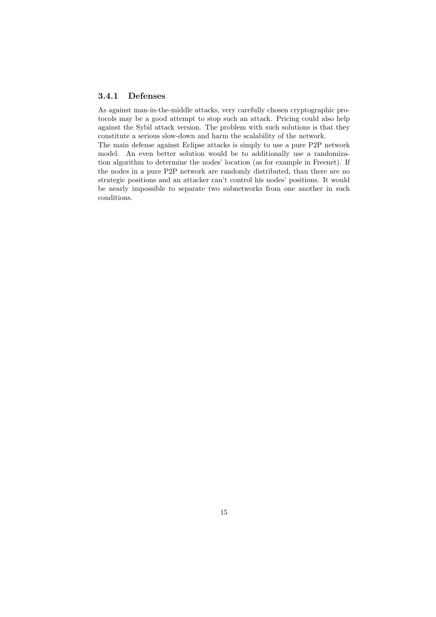#### 3.4.1 Defenses

As against man-in-the-middle attacks, very carefully chosen cryptographic protocols may be a good attempt to stop such an attack. Pricing could also help against the Sybil attack version. The problem with such solutions is that they constitute a serious slow-down and harm the scalability of the network.

The main defense against Eclipse attacks is simply to use a pure P2P network model. An even better solution would be to additionally use a randomization algorithm to determine the nodes' location (as for example in Freenet). If the nodes in a pure P2P network are randomly distributed, than there are no strategic positions and an attacker can't control his nodes' positions. It would be nearly impossible to separate two subnetworks from one another in such conditions.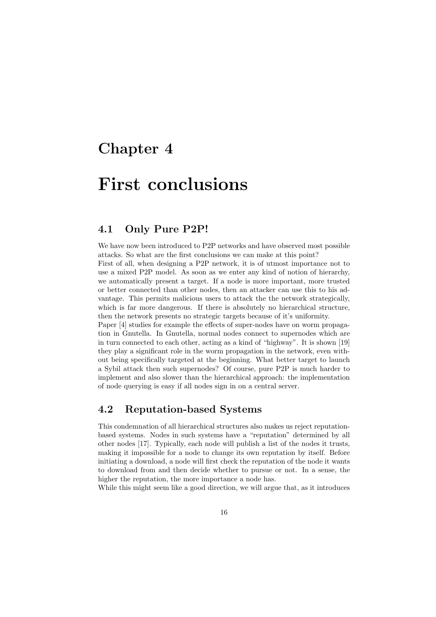### Chapter 4

## First conclusions

#### 4.1 Only Pure P2P!

We have now been introduced to P2P networks and have observed most possible attacks. So what are the first conclusions we can make at this point? First of all, when designing a P2P network, it is of utmost importance not to use a mixed P2P model. As soon as we enter any kind of notion of hierarchy, we automatically present a target. If a node is more important, more trusted or better connected than other nodes, then an attacker can use this to his advantage. This permits malicious users to attack the the network strategically, which is far more dangerous. If there is absolutely no hierarchical structure, then the network presents no strategic targets because of it's uniformity.

Paper [4] studies for example the effects of super-nodes have on worm propagation in Gnutella. In Gnutella, normal nodes connect to supernodes which are in turn connected to each other, acting as a kind of "highway". It is shown [19] they play a significant role in the worm propagation in the network, even without being specifically targeted at the beginning. What better target to launch a Sybil attack then such supernodes? Of course, pure P2P is much harder to implement and also slower than the hierarchical approach: the implementation of node querying is easy if all nodes sign in on a central server.

#### 4.2 Reputation-based Systems

This condemnation of all hierarchical structures also makes us reject reputationbased systems. Nodes in such systems have a "reputation" determined by all other nodes [17]. Typically, each node will publish a list of the nodes it trusts, making it impossible for a node to change its own reputation by itself. Before initiating a download, a node will first check the reputation of the node it wants to download from and then decide whether to pursue or not. In a sense, the higher the reputation, the more importance a node has.

While this might seem like a good direction, we will argue that, as it introduces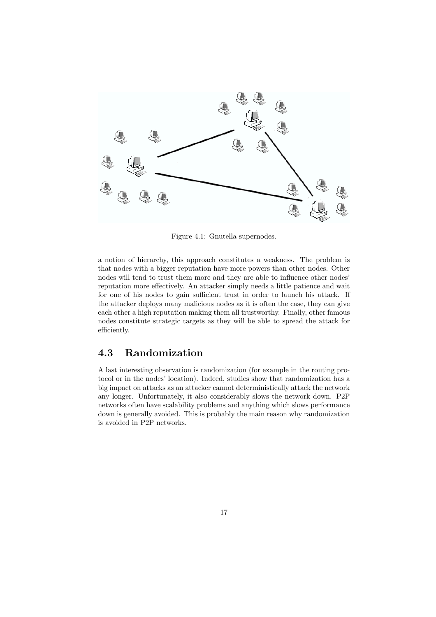

Figure 4.1: Gnutella supernodes.

a notion of hierarchy, this approach constitutes a weakness. The problem is that nodes with a bigger reputation have more powers than other nodes. Other nodes will tend to trust them more and they are able to influence other nodes' reputation more effectively. An attacker simply needs a little patience and wait for one of his nodes to gain sufficient trust in order to launch his attack. If the attacker deploys many malicious nodes as it is often the case, they can give each other a high reputation making them all trustworthy. Finally, other famous nodes constitute strategic targets as they will be able to spread the attack for efficiently.

#### 4.3 Randomization

A last interesting observation is randomization (for example in the routing protocol or in the nodes' location). Indeed, studies show that randomization has a big impact on attacks as an attacker cannot deterministically attack the network any longer. Unfortunately, it also considerably slows the network down. P2P networks often have scalability problems and anything which slows performance down is generally avoided. This is probably the main reason why randomization is avoided in P2P networks.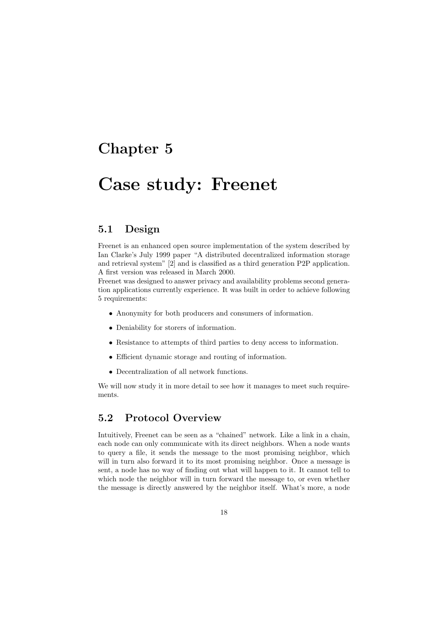### Chapter 5

## Case study: Freenet

#### 5.1 Design

Freenet is an enhanced open source implementation of the system described by Ian Clarke's July 1999 paper "A distributed decentralized information storage and retrieval system" [2] and is classified as a third generation P2P application. A first version was released in March 2000.

Freenet was designed to answer privacy and availability problems second generation applications currently experience. It was built in order to achieve following 5 requirements:

- Anonymity for both producers and consumers of information.
- Deniability for storers of information.
- Resistance to attempts of third parties to deny access to information.
- Efficient dynamic storage and routing of information.
- Decentralization of all network functions.

We will now study it in more detail to see how it manages to meet such requirements.

#### 5.2 Protocol Overview

Intuitively, Freenet can be seen as a "chained" network. Like a link in a chain, each node can only communicate with its direct neighbors. When a node wants to query a file, it sends the message to the most promising neighbor, which will in turn also forward it to its most promising neighbor. Once a message is sent, a node has no way of finding out what will happen to it. It cannot tell to which node the neighbor will in turn forward the message to, or even whether the message is directly answered by the neighbor itself. What's more, a node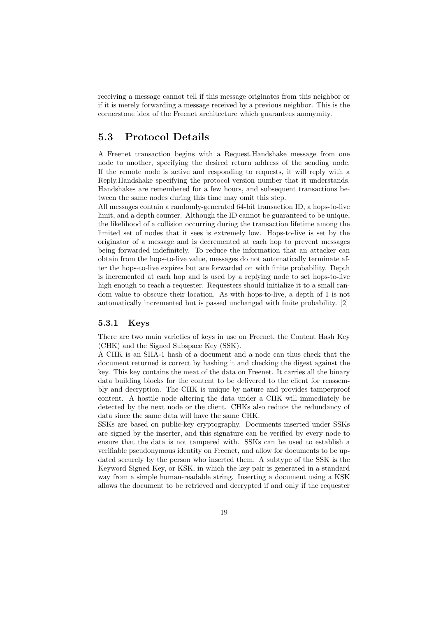receiving a message cannot tell if this message originates from this neighbor or if it is merely forwarding a message received by a previous neighbor. This is the cornerstone idea of the Freenet architecture which guarantees anonymity.

#### 5.3 Protocol Details

A Freenet transaction begins with a Request.Handshake message from one node to another, specifying the desired return address of the sending node. If the remote node is active and responding to requests, it will reply with a Reply.Handshake specifying the protocol version number that it understands. Handshakes are remembered for a few hours, and subsequent transactions between the same nodes during this time may omit this step.

All messages contain a randomly-generated 64-bit transaction ID, a hops-to-live limit, and a depth counter. Although the ID cannot be guaranteed to be unique, the likelihood of a collision occurring during the transaction lifetime among the limited set of nodes that it sees is extremely low. Hops-to-live is set by the originator of a message and is decremented at each hop to prevent messages being forwarded indefinitely. To reduce the information that an attacker can obtain from the hops-to-live value, messages do not automatically terminate after the hops-to-live expires but are forwarded on with finite probability. Depth is incremented at each hop and is used by a replying node to set hops-to-live high enough to reach a requester. Requesters should initialize it to a small random value to obscure their location. As with hops-to-live, a depth of 1 is not automatically incremented but is passed unchanged with finite probability. [2]

#### 5.3.1 Keys

There are two main varieties of keys in use on Freenet, the Content Hash Key (CHK) and the Signed Subspace Key (SSK).

A CHK is an SHA-1 hash of a document and a node can thus check that the document returned is correct by hashing it and checking the digest against the key. This key contains the meat of the data on Freenet. It carries all the binary data building blocks for the content to be delivered to the client for reassembly and decryption. The CHK is unique by nature and provides tamperproof content. A hostile node altering the data under a CHK will immediately be detected by the next node or the client. CHKs also reduce the redundancy of data since the same data will have the same CHK.

SSKs are based on public-key cryptography. Documents inserted under SSKs are signed by the inserter, and this signature can be verified by every node to ensure that the data is not tampered with. SSKs can be used to establish a verifiable pseudonymous identity on Freenet, and allow for documents to be updated securely by the person who inserted them. A subtype of the SSK is the Keyword Signed Key, or KSK, in which the key pair is generated in a standard way from a simple human-readable string. Inserting a document using a KSK allows the document to be retrieved and decrypted if and only if the requester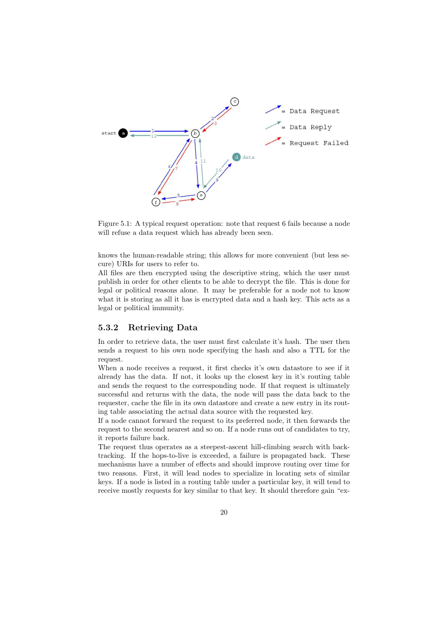

Figure 5.1: A typical request operation: note that request 6 fails because a node will refuse a data request which has already been seen.

knows the human-readable string; this allows for more convenient (but less secure) URIs for users to refer to.

All files are then encrypted using the descriptive string, which the user must publish in order for other clients to be able to decrypt the file. This is done for legal or political reasons alone. It may be preferable for a node not to know what it is storing as all it has is encrypted data and a hash key. This acts as a legal or political immunity.

#### 5.3.2 Retrieving Data

In order to retrieve data, the user must first calculate it's hash. The user then sends a request to his own node specifying the hash and also a TTL for the request.

When a node receives a request, it first checks it's own datastore to see if it already has the data. If not, it looks up the closest key in it's routing table and sends the request to the corresponding node. If that request is ultimately successful and returns with the data, the node will pass the data back to the requester, cache the file in its own datastore and create a new entry in its routing table associating the actual data source with the requested key.

If a node cannot forward the request to its preferred node, it then forwards the request to the second nearest and so on. If a node runs out of candidates to try, it reports failure back.

The request thus operates as a steepest-ascent hill-climbing search with backtracking. If the hops-to-live is exceeded, a failure is propagated back. These mechanisms have a number of effects and should improve routing over time for two reasons. First, it will lead nodes to specialize in locating sets of similar keys. If a node is listed in a routing table under a particular key, it will tend to receive mostly requests for key similar to that key. It should therefore gain "ex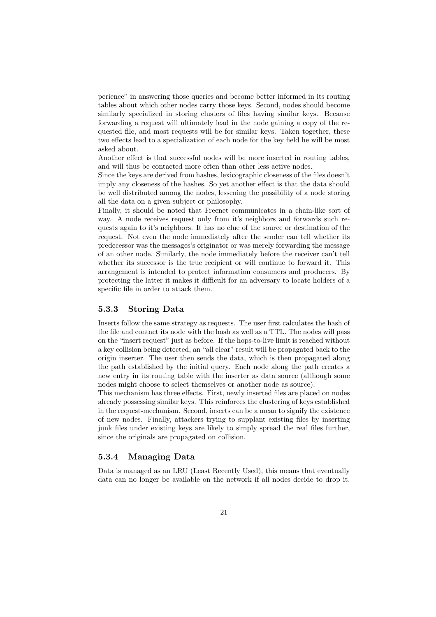perience" in answering those queries and become better informed in its routing tables about which other nodes carry those keys. Second, nodes should become similarly specialized in storing clusters of files having similar keys. Because forwarding a request will ultimately lead in the node gaining a copy of the requested file, and most requests will be for similar keys. Taken together, these two effects lead to a specialization of each node for the key field he will be most asked about.

Another effect is that successful nodes will be more inserted in routing tables, and will thus be contacted more often than other less active nodes.

Since the keys are derived from hashes, lexicographic closeness of the files doesn't imply any closeness of the hashes. So yet another effect is that the data should be well distributed among the nodes, lessening the possibility of a node storing all the data on a given subject or philosophy.

Finally, it should be noted that Freenet communicates in a chain-like sort of way. A node receives request only from it's neighbors and forwards such requests again to it's neighbors. It has no clue of the source or destination of the request. Not even the node immediately after the sender can tell whether its predecessor was the messages's originator or was merely forwarding the message of an other node. Similarly, the node immediately before the receiver can't tell whether its successor is the true recipient or will continue to forward it. This arrangement is intended to protect information consumers and producers. By protecting the latter it makes it difficult for an adversary to locate holders of a specific file in order to attack them.

#### 5.3.3 Storing Data

Inserts follow the same strategy as requests. The user first calculates the hash of the file and contact its node with the hash as well as a TTL. The nodes will pass on the "insert request" just as before. If the hops-to-live limit is reached without a key collision being detected, an "all clear" result will be propagated back to the origin inserter. The user then sends the data, which is then propagated along the path established by the initial query. Each node along the path creates a new entry in its routing table with the inserter as data source (although some nodes might choose to select themselves or another node as source).

This mechanism has three effects. First, newly inserted files are placed on nodes already possessing similar keys. This reinforces the clustering of keys established in the request-mechanism. Second, inserts can be a mean to signify the existence of new nodes. Finally, attackers trying to supplant existing files by inserting junk files under existing keys are likely to simply spread the real files further, since the originals are propagated on collision.

#### 5.3.4 Managing Data

Data is managed as an LRU (Least Recently Used), this means that eventually data can no longer be available on the network if all nodes decide to drop it.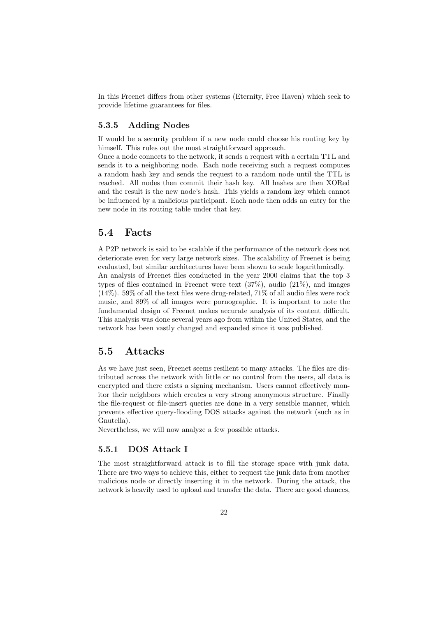In this Freenet differs from other systems (Eternity, Free Haven) which seek to provide lifetime guarantees for files.

#### 5.3.5 Adding Nodes

If would be a security problem if a new node could choose his routing key by himself. This rules out the most straightforward approach.

Once a node connects to the network, it sends a request with a certain TTL and sends it to a neighboring node. Each node receiving such a request computes a random hash key and sends the request to a random node until the TTL is reached. All nodes then commit their hash key. All hashes are then XORed and the result is the new node's hash. This yields a random key which cannot be influenced by a malicious participant. Each node then adds an entry for the new node in its routing table under that key.

#### 5.4 Facts

A P2P network is said to be scalable if the performance of the network does not deteriorate even for very large network sizes. The scalability of Freenet is being evaluated, but similar architectures have been shown to scale logarithmically. An analysis of Freenet files conducted in the year 2000 claims that the top 3 types of files contained in Freenet were text (37%), audio (21%), and images  $(14\%)$ . 59% of all the text files were drug-related, 71% of all audio files were rock music, and 89% of all images were pornographic. It is important to note the fundamental design of Freenet makes accurate analysis of its content difficult. This analysis was done several years ago from within the United States, and the network has been vastly changed and expanded since it was published.

#### 5.5 Attacks

As we have just seen, Freenet seems resilient to many attacks. The files are distributed across the network with little or no control from the users, all data is encrypted and there exists a signing mechanism. Users cannot effectively monitor their neighbors which creates a very strong anonymous structure. Finally the file-request or file-insert queries are done in a very sensible manner, which prevents effective query-flooding DOS attacks against the network (such as in Gnutella).

Nevertheless, we will now analyze a few possible attacks.

#### 5.5.1 DOS Attack I

The most straightforward attack is to fill the storage space with junk data. There are two ways to achieve this, either to request the junk data from another malicious node or directly inserting it in the network. During the attack, the network is heavily used to upload and transfer the data. There are good chances,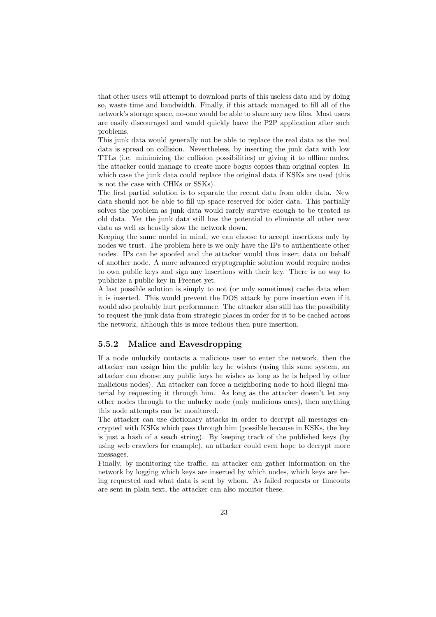that other users will attempt to download parts of this useless data and by doing so, waste time and bandwidth. Finally, if this attack managed to fill all of the network's storage space, no-one would be able to share any new files. Most users are easily discouraged and would quickly leave the P2P application after such problems.

This junk data would generally not be able to replace the real data as the real data is spread on collision. Nevertheless, by inserting the junk data with low TTLs (i.e. minimizing the collision possibilities) or giving it to offline nodes, the attacker could manage to create more bogus copies than original copies. In which case the junk data could replace the original data if KSKs are used (this is not the case with CHKs or SSKs).

The first partial solution is to separate the recent data from older data. New data should not be able to fill up space reserved for older data. This partially solves the problem as junk data would rarely survive enough to be treated as old data. Yet the junk data still has the potential to eliminate all other new data as well as heavily slow the network down.

Keeping the same model in mind, we can choose to accept insertions only by nodes we trust. The problem here is we only have the IPs to authenticate other nodes. IPs can be spoofed and the attacker would thus insert data on behalf of another node. A more advanced cryptographic solution would require nodes to own public keys and sign any insertions with their key. There is no way to publicize a public key in Freenet yet.

A last possible solution is simply to not (or only sometimes) cache data when it is inserted. This would prevent the DOS attack by pure insertion even if it would also probably hurt performance. The attacker also still has the possibility to request the junk data from strategic places in order for it to be cached across the network, although this is more tedious then pure insertion.

#### 5.5.2 Malice and Eavesdropping

If a node unluckily contacts a malicious user to enter the network, then the attacker can assign him the public key he wishes (using this same system, an attacker can choose any public keys he wishes as long as he is helped by other malicious nodes). An attacker can force a neighboring node to hold illegal material by requesting it through him. As long as the attacker doesn't let any other nodes through to the unlucky node (only malicious ones), then anything this node attempts can be monitored.

The attacker can use dictionary attacks in order to decrypt all messages encrypted with KSKs which pass through him (possible because in KSKs, the key is just a hash of a seach string). By keeping track of the published keys (by using web crawlers for example), an attacker could even hope to decrypt more messages.

Finally, by monitoring the traffic, an attacker can gather information on the network by logging which keys are inserted by which nodes, which keys are being requested and what data is sent by whom. As failed requests or timeouts are sent in plain text, the attacker can also monitor these.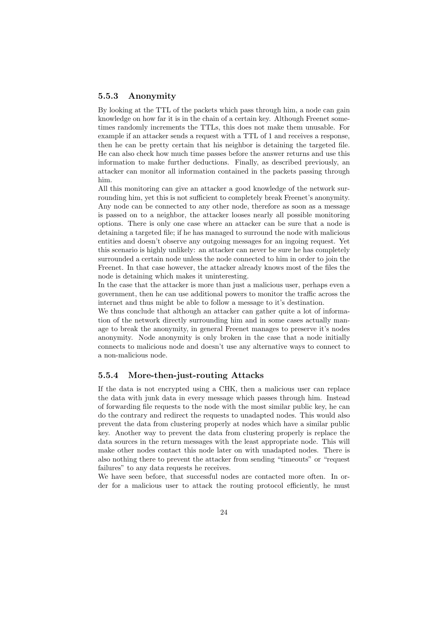#### 5.5.3 Anonymity

By looking at the TTL of the packets which pass through him, a node can gain knowledge on how far it is in the chain of a certain key. Although Freenet sometimes randomly increments the TTLs, this does not make them unusable. For example if an attacker sends a request with a TTL of 1 and receives a response, then he can be pretty certain that his neighbor is detaining the targeted file. He can also check how much time passes before the answer returns and use this information to make further deductions. Finally, as described previously, an attacker can monitor all information contained in the packets passing through him.

All this monitoring can give an attacker a good knowledge of the network surrounding him, yet this is not sufficient to completely break Freenet's anonymity. Any node can be connected to any other node, therefore as soon as a message is passed on to a neighbor, the attacker looses nearly all possible monitoring options. There is only one case where an attacker can be sure that a node is detaining a targeted file; if he has managed to surround the node with malicious entities and doesn't observe any outgoing messages for an ingoing request. Yet this scenario is highly unlikely: an attacker can never be sure he has completely surrounded a certain node unless the node connected to him in order to join the Freenet. In that case however, the attacker already knows most of the files the node is detaining which makes it uninteresting.

In the case that the attacker is more than just a malicious user, perhaps even a government, then he can use additional powers to monitor the traffic across the internet and thus might be able to follow a message to it's destination.

We thus conclude that although an attacker can gather quite a lot of information of the network directly surrounding him and in some cases actually manage to break the anonymity, in general Freenet manages to preserve it's nodes anonymity. Node anonymity is only broken in the case that a node initially connects to malicious node and doesn't use any alternative ways to connect to a non-malicious node.

#### 5.5.4 More-then-just-routing Attacks

If the data is not encrypted using a CHK, then a malicious user can replace the data with junk data in every message which passes through him. Instead of forwarding file requests to the node with the most similar public key, he can do the contrary and redirect the requests to unadapted nodes. This would also prevent the data from clustering properly at nodes which have a similar public key. Another way to prevent the data from clustering properly is replace the data sources in the return messages with the least appropriate node. This will make other nodes contact this node later on with unadapted nodes. There is also nothing there to prevent the attacker from sending "timeouts" or "request failures" to any data requests he receives.

We have seen before, that successful nodes are contacted more often. In order for a malicious user to attack the routing protocol efficiently, he must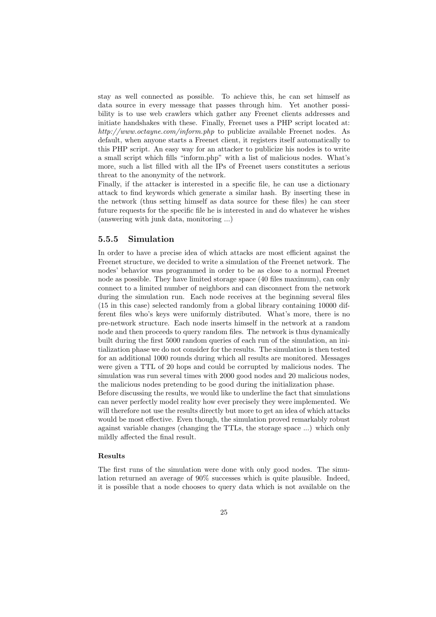stay as well connected as possible. To achieve this, he can set himself as data source in every message that passes through him. Yet another possibility is to use web crawlers which gather any Freenet clients addresses and initiate handshakes with these. Finally, Freenet uses a PHP script located at: http://www.octayne.com/inform.php to publicize available Freenet nodes. As default, when anyone starts a Freenet client, it registers itself automatically to this PHP script. An easy way for an attacker to publicize his nodes is to write a small script which fills "inform.php" with a list of malicious nodes. What's more, such a list filled with all the IPs of Freenet users constitutes a serious threat to the anonymity of the network.

Finally, if the attacker is interested in a specific file, he can use a dictionary attack to find keywords which generate a similar hash. By inserting these in the network (thus setting himself as data source for these files) he can steer future requests for the specific file he is interested in and do whatever he wishes (answering with junk data, monitoring ...)

#### 5.5.5 Simulation

In order to have a precise idea of which attacks are most efficient against the Freenet structure, we decided to write a simulation of the Freenet network. The nodes' behavior was programmed in order to be as close to a normal Freenet node as possible. They have limited storage space (40 files maximum), can only connect to a limited number of neighbors and can disconnect from the network during the simulation run. Each node receives at the beginning several files (15 in this case) selected randomly from a global library containing 10000 different files who's keys were uniformly distributed. What's more, there is no pre-network structure. Each node inserts himself in the network at a random node and then proceeds to query random files. The network is thus dynamically built during the first 5000 random queries of each run of the simulation, an initialization phase we do not consider for the results. The simulation is then tested for an additional 1000 rounds during which all results are monitored. Messages were given a TTL of 20 hops and could be corrupted by malicious nodes. The simulation was run several times with 2000 good nodes and 20 malicious nodes, the malicious nodes pretending to be good during the initialization phase.

Before discussing the results, we would like to underline the fact that simulations can never perfectly model reality how ever precisely they were implemented. We will therefore not use the results directly but more to get an idea of which attacks would be most effective. Even though, the simulation proved remarkably robust against variable changes (changing the TTLs, the storage space ...) which only mildly affected the final result.

#### Results

The first runs of the simulation were done with only good nodes. The simulation returned an average of 90% successes which is quite plausible. Indeed, it is possible that a node chooses to query data which is not available on the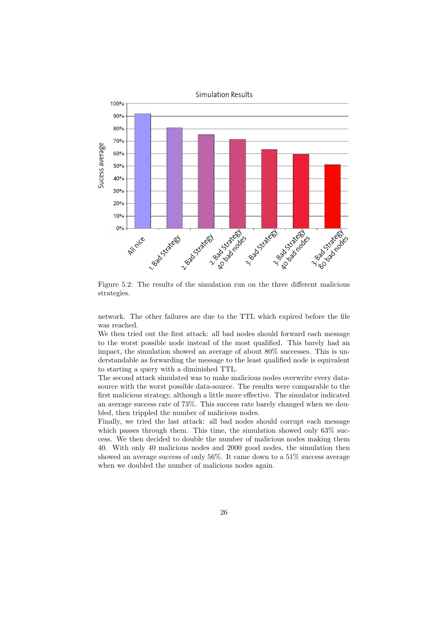

Figure 5.2: The results of the simulation run on the three different malicious strategies.

network. The other failures are due to the TTL which expired before the file was reached.

We then tried out the first attack: all bad nodes should forward each message to the worst possible node instead of the most qualified. This barely had an impact, the simulation showed an average of about 80% successes. This is understandable as forwarding the message to the least qualified node is equivalent to starting a query with a diminished TTL.

The second attack simulated was to make malicious nodes overwrite every datasource with the worst possible data-source. The results were comparable to the first malicious strategy, although a little more effective. The simulator indicated an average success rate of 73%. This success rate barely changed when we doubled, then trippled the number of malicious nodes.

Finally, we tried the last attack: all bad nodes should corrupt each message which passes through them. This time, the simulation showed only  $63\%$  success. We then decided to double the number of malicious nodes making them 40. With only 40 malicious nodes and 2000 good nodes, the simulation then showed an average success of only 56%. It came down to a 51% success average when we doubled the number of malicious nodes again.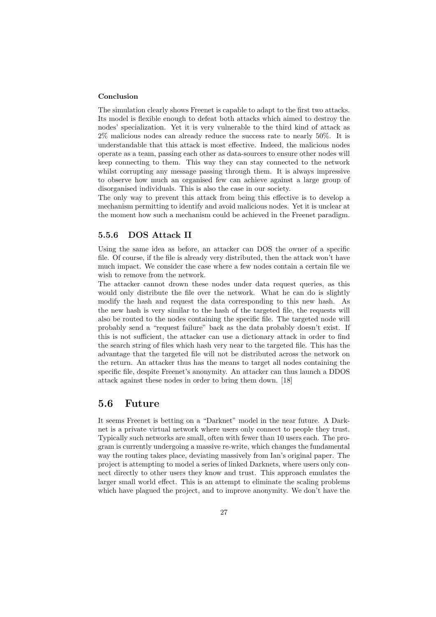#### Conclusion

The simulation clearly shows Freenet is capable to adapt to the first two attacks. Its model is flexible enough to defeat both attacks which aimed to destroy the nodes' specialization. Yet it is very vulnerable to the third kind of attack as 2% malicious nodes can already reduce the success rate to nearly 50%. It is understandable that this attack is most effective. Indeed, the malicious nodes operate as a team, passing each other as data-sources to ensure other nodes will keep connecting to them. This way they can stay connected to the network whilst corrupting any message passing through them. It is always impressive to observe how much an organised few can achieve against a large group of disorganised individuals. This is also the case in our society.

The only way to prevent this attack from being this effective is to develop a mechanism permitting to identify and avoid malicious nodes. Yet it is unclear at the moment how such a mechanism could be achieved in the Freenet paradigm.

#### 5.5.6 DOS Attack II

Using the same idea as before, an attacker can DOS the owner of a specific file. Of course, if the file is already very distributed, then the attack won't have much impact. We consider the case where a few nodes contain a certain file we wish to remove from the network.

The attacker cannot drown these nodes under data request queries, as this would only distribute the file over the network. What he can do is slightly modify the hash and request the data corresponding to this new hash. As the new hash is very similar to the hash of the targeted file, the requests will also be routed to the nodes containing the specific file. The targeted node will probably send a "request failure" back as the data probably doesn't exist. If this is not sufficient, the attacker can use a dictionary attack in order to find the search string of files which hash very near to the targeted file. This has the advantage that the targeted file will not be distributed across the network on the return. An attacker thus has the means to target all nodes containing the specific file, despite Freenet's anonymity. An attacker can thus launch a DDOS attack against these nodes in order to bring them down. [18]

#### 5.6 Future

It seems Freenet is betting on a "Darknet" model in the near future. A Darknet is a private virtual network where users only connect to people they trust. Typically such networks are small, often with fewer than 10 users each. The program is currently undergoing a massive re-write, which changes the fundamental way the routing takes place, deviating massively from Ian's original paper. The project is attempting to model a series of linked Darknets, where users only connect directly to other users they know and trust. This approach emulates the larger small world effect. This is an attempt to eliminate the scaling problems which have plagued the project, and to improve anonymity. We don't have the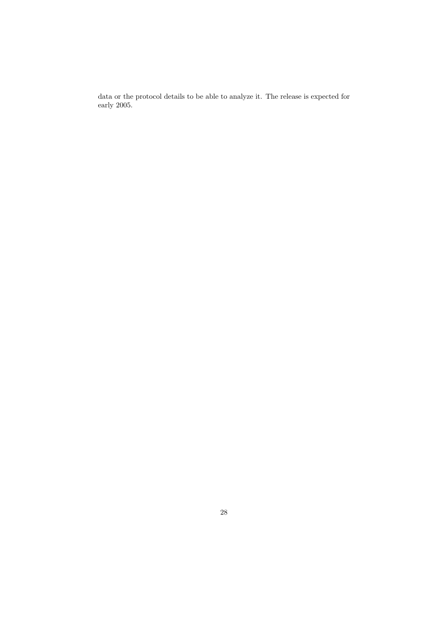data or the protocol details to be able to analyze it. The release is expected for early 2005.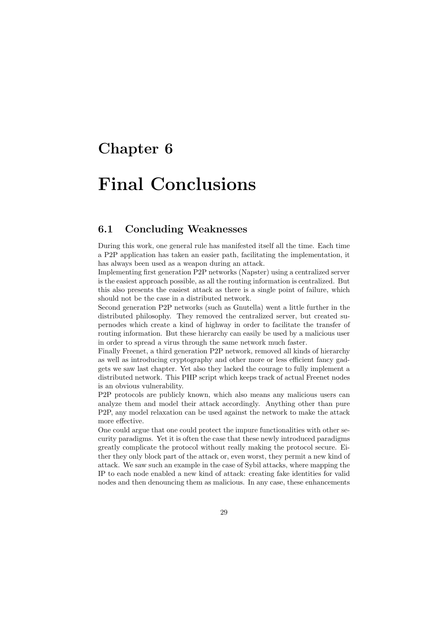## Chapter 6

# Final Conclusions

#### 6.1 Concluding Weaknesses

During this work, one general rule has manifested itself all the time. Each time a P2P application has taken an easier path, facilitating the implementation, it has always been used as a weapon during an attack.

Implementing first generation P2P networks (Napster) using a centralized server is the easiest approach possible, as all the routing information is centralized. But this also presents the easiest attack as there is a single point of failure, which should not be the case in a distributed network.

Second generation P2P networks (such as Gnutella) went a little further in the distributed philosophy. They removed the centralized server, but created supernodes which create a kind of highway in order to facilitate the transfer of routing information. But these hierarchy can easily be used by a malicious user in order to spread a virus through the same network much faster.

Finally Freenet, a third generation P2P network, removed all kinds of hierarchy as well as introducing cryptography and other more or less efficient fancy gadgets we saw last chapter. Yet also they lacked the courage to fully implement a distributed network. This PHP script which keeps track of actual Freenet nodes is an obvious vulnerability.

P2P protocols are publicly known, which also means any malicious users can analyze them and model their attack accordingly. Anything other than pure P2P, any model relaxation can be used against the network to make the attack more effective.

One could argue that one could protect the impure functionalities with other security paradigms. Yet it is often the case that these newly introduced paradigms greatly complicate the protocol without really making the protocol secure. Either they only block part of the attack or, even worst, they permit a new kind of attack. We saw such an example in the case of Sybil attacks, where mapping the IP to each node enabled a new kind of attack: creating fake identities for valid nodes and then denouncing them as malicious. In any case, these enhancements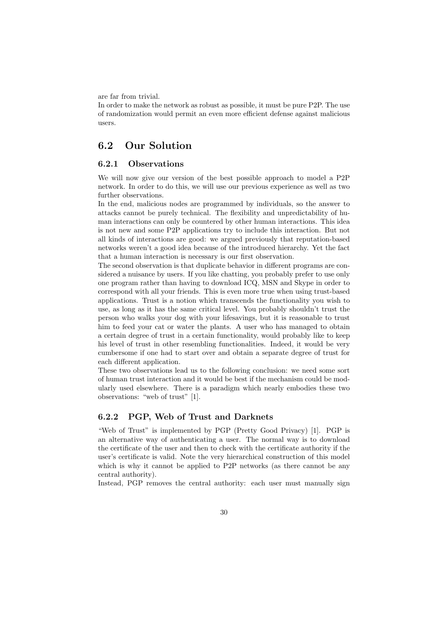are far from trivial.

In order to make the network as robust as possible, it must be pure P2P. The use of randomization would permit an even more efficient defense against malicious users.

#### 6.2 Our Solution

#### 6.2.1 Observations

We will now give our version of the best possible approach to model a P2P network. In order to do this, we will use our previous experience as well as two further observations.

In the end, malicious nodes are programmed by individuals, so the answer to attacks cannot be purely technical. The flexibility and unpredictability of human interactions can only be countered by other human interactions. This idea is not new and some P2P applications try to include this interaction. But not all kinds of interactions are good: we argued previously that reputation-based networks weren't a good idea because of the introduced hierarchy. Yet the fact that a human interaction is necessary is our first observation.

The second observation is that duplicate behavior in different programs are considered a nuisance by users. If you like chatting, you probably prefer to use only one program rather than having to download ICQ, MSN and Skype in order to correspond with all your friends. This is even more true when using trust-based applications. Trust is a notion which transcends the functionality you wish to use, as long as it has the same critical level. You probably shouldn't trust the person who walks your dog with your lifesavings, but it is reasonable to trust him to feed your cat or water the plants. A user who has managed to obtain a certain degree of trust in a certain functionality, would probably like to keep his level of trust in other resembling functionalities. Indeed, it would be very cumbersome if one had to start over and obtain a separate degree of trust for each different application.

These two observations lead us to the following conclusion: we need some sort of human trust interaction and it would be best if the mechanism could be modularly used elsewhere. There is a paradigm which nearly embodies these two observations: "web of trust" [1].

#### 6.2.2 PGP, Web of Trust and Darknets

"Web of Trust" is implemented by PGP (Pretty Good Privacy) [1]. PGP is an alternative way of authenticating a user. The normal way is to download the certificate of the user and then to check with the certificate authority if the user's certificate is valid. Note the very hierarchical construction of this model which is why it cannot be applied to P2P networks (as there cannot be any central authority).

Instead, PGP removes the central authority: each user must manually sign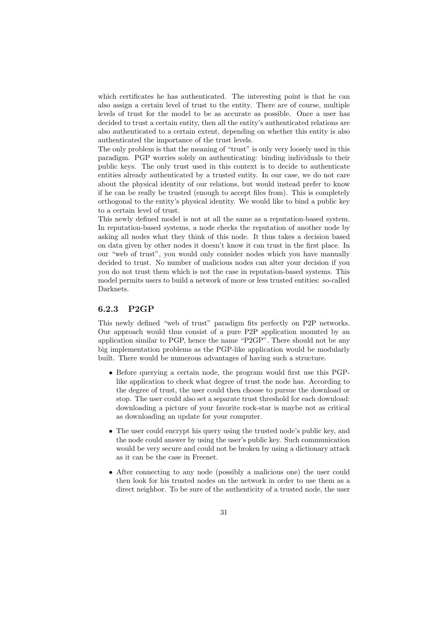which certificates he has authenticated. The interesting point is that he can also assign a certain level of trust to the entity. There are of course, multiple levels of trust for the model to be as accurate as possible. Once a user has decided to trust a certain entity, then all the entity's authenticated relations are also authenticated to a certain extent, depending on whether this entity is also authenticated the importance of the trust levels.

The only problem is that the meaning of "trust" is only very loosely used in this paradigm. PGP worries solely on authenticating: binding individuals to their public keys. The only trust used in this context is to decide to authenticate entities already authenticated by a trusted entity. In our case, we do not care about the physical identity of our relations, but would instead prefer to know if he can be really be trusted (enough to accept files from). This is completely orthogonal to the entity's physical identity. We would like to bind a public key to a certain level of trust.

This newly defined model is not at all the same as a reputation-based system. In reputation-based systems, a node checks the reputation of another node by asking all nodes what they think of this node. It thus takes a decision based on data given by other nodes it doesn't know it can trust in the first place. In our "web of trust", you would only consider nodes which you have manually decided to trust. No number of malicious nodes can alter your decision if you you do not trust them which is not the case in reputation-based systems. This model permits users to build a network of more or less trusted entities: so-called Darknets.

#### 6.2.3 P2GP

This newly defined "web of trust" paradigm fits perfectly on P2P networks. Our approach would thus consist of a pure P2P application mounted by an application similar to PGP, hence the name "P2GP". There should not be any big implementation problems as the PGP-like application would be modularly built. There would be numerous advantages of having such a structure.

- Before querying a certain node, the program would first use this PGPlike application to check what degree of trust the node has. According to the degree of trust, the user could then choose to pursue the download or stop. The user could also set a separate trust threshold for each download: downloading a picture of your favorite rock-star is maybe not as critical as downloading an update for your computer.
- The user could encrypt his query using the trusted node's public key, and the node could answer by using the user's public key. Such communication would be very secure and could not be broken by using a dictionary attack as it can be the case in Freenet.
- After connecting to any node (possibly a malicious one) the user could then look for his trusted nodes on the network in order to use them as a direct neighbor. To be sure of the authenticity of a trusted node, the user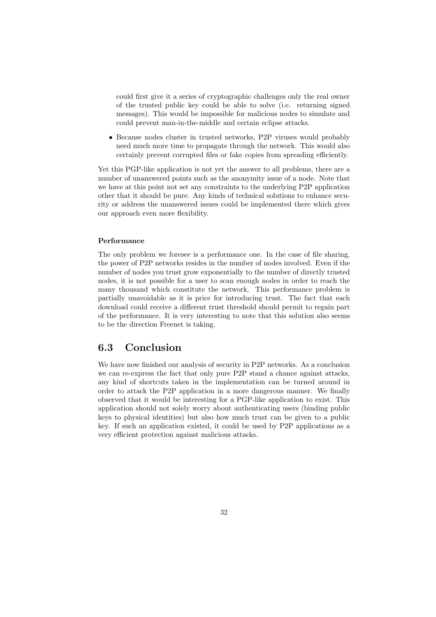could first give it a series of cryptographic challenges only the real owner of the trusted public key could be able to solve (i.e. returning signed messages). This would be impossible for malicious nodes to simulate and could prevent man-in-the-middle and certain eclipse attacks.

• Because nodes cluster in trusted networks, P2P viruses would probably need much more time to propagate through the network. This would also certainly prevent corrupted files or fake copies from spreading efficiently.

Yet this PGP-like application is not yet the answer to all problems, there are a number of unanswered points such as the anonymity issue of a node. Note that we have at this point not set any constraints to the underlying P2P application other that it should be pure. Any kinds of technical solutions to enhance security or address the unanswered issues could be implemented there which gives our approach even more flexibility.

#### Performance

The only problem we foresee is a performance one. In the case of file sharing, the power of P2P networks resides in the number of nodes involved. Even if the number of nodes you trust grow exponentially to the number of directly trusted nodes, it is not possible for a user to scan enough nodes in order to reach the many thousand which constitute the network. This performance problem is partially unavoidable as it is price for introducing trust. The fact that each download could receive a different trust threshold should permit to regain part of the performance. It is very interesting to note that this solution also seems to be the direction Freenet is taking.

#### 6.3 Conclusion

We have now finished our analysis of security in P2P networks. As a conclusion we can re-express the fact that only pure P2P stand a chance against attacks, any kind of shortcuts taken in the implementation can be turned around in order to attack the P2P application in a more dangerous manner. We finally observed that it would be interesting for a PGP-like application to exist. This application should not solely worry about authenticating users (binding public keys to physical identities) but also how much trust can be given to a public key. If such an application existed, it could be used by P2P applications as a very efficient protection against malicious attacks.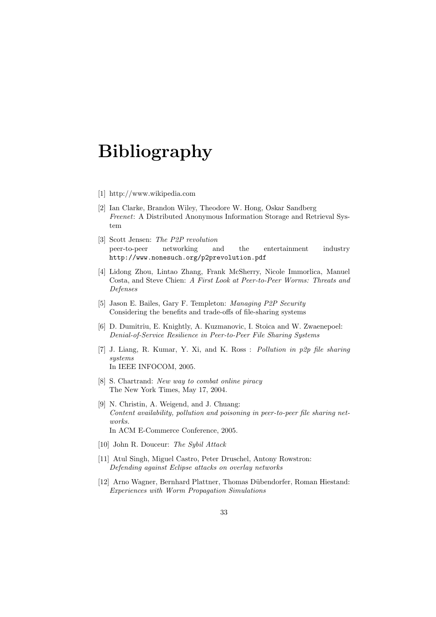# Bibliography

- [1] http://www.wikipedia.com
- [2] Ian Clarke, Brandon Wiley, Theodore W. Hong, Oskar Sandberg Freenet: A Distributed Anonymous Information Storage and Retrieval System
- [3] Scott Jensen: The P2P revolution peer-to-peer networking and the entertainment industry http://www.nonesuch.org/p2prevolution.pdf
- [4] Lidong Zhou, Lintao Zhang, Frank McSherry, Nicole Immorlica, Manuel Costa, and Steve Chien: A First Look at Peer-to-Peer Worms: Threats and Defenses
- [5] Jason E. Bailes, Gary F. Templeton: Managing P2P Security Considering the benefits and trade-offs of file-sharing systems
- [6] D. Dumitriu, E. Knightly, A. Kuzmanovic, I. Stoica and W. Zwaenepoel: Denial-of-Service Resilience in Peer-to-Peer File Sharing Systems
- [7] J. Liang, R. Kumar, Y. Xi, and K. Ross : Pollution in p2p file sharing systems In IEEE INFOCOM, 2005.
- [8] S. Chartrand: New way to combat online piracy The New York Times, May 17, 2004.
- [9] N. Christin, A. Weigend, and J. Chuang: Content availability, pollution and poisoning in peer-to-peer file sharing networks. In ACM E-Commerce Conference, 2005.
- [10] John R. Douceur: The Sybil Attack
- [11] Atul Singh, Miguel Castro, Peter Druschel, Antony Rowstron: Defending against Eclipse attacks on overlay networks
- [12] Arno Wagner, Bernhard Plattner, Thomas Dübendorfer, Roman Hiestand: Experiences with Worm Propagation Simulations